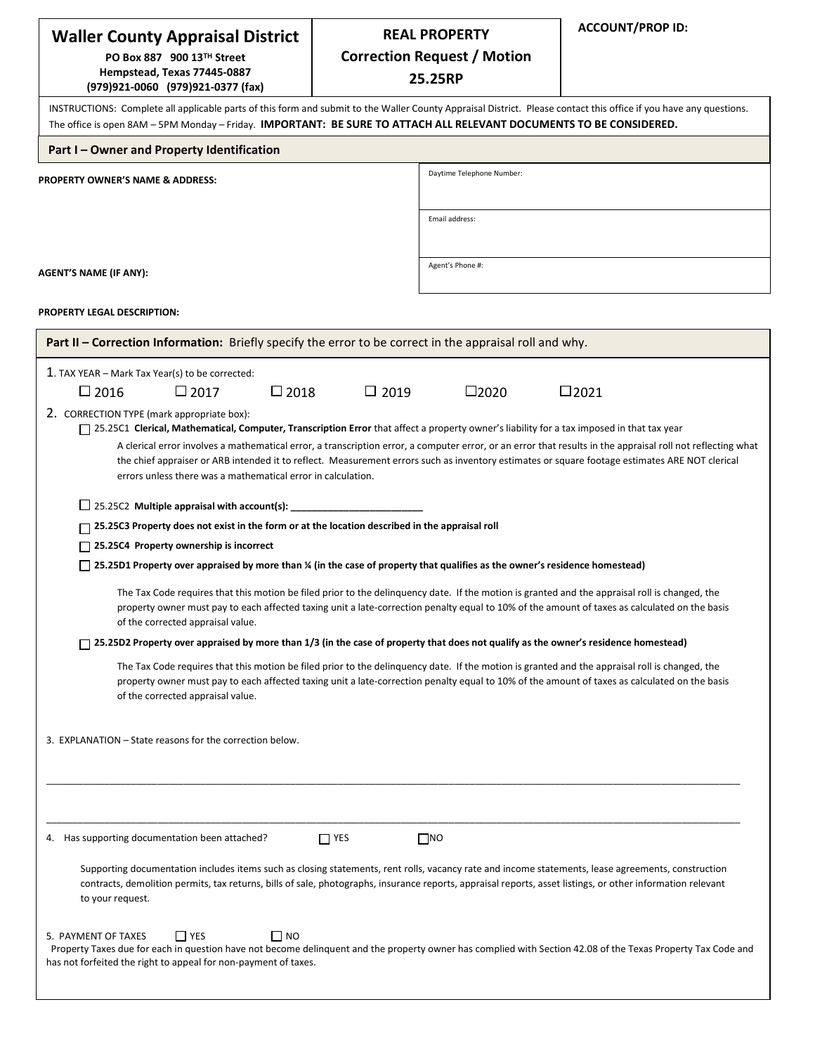| <b>Waller County Appraisal District</b>                                                                                                                                                                                                                                                                                               |             | <b>REAL PROPERTY</b>               | <b>ACCOUNT/PROP ID:</b>                                                                                                                                     |  |  |  |  |
|---------------------------------------------------------------------------------------------------------------------------------------------------------------------------------------------------------------------------------------------------------------------------------------------------------------------------------------|-------------|------------------------------------|-------------------------------------------------------------------------------------------------------------------------------------------------------------|--|--|--|--|
| PO Box 887 900 13™ Street                                                                                                                                                                                                                                                                                                             |             | <b>Correction Request / Motion</b> |                                                                                                                                                             |  |  |  |  |
| Hempstead, Texas 77445-0887<br>(979)921-0060 (979)921-0377 (fax)                                                                                                                                                                                                                                                                      |             | 25.25RP                            |                                                                                                                                                             |  |  |  |  |
| INSTRUCTIONS: Complete all applicable parts of this form and submit to the Waller County Appraisal District. Please contact this office if you have any questions.<br>The office is open 8AM - 5PM Monday - Friday. IMPORTANT: BE SURE TO ATTACH ALL RELEVANT DOCUMENTS TO BE CONSIDERED.                                             |             |                                    |                                                                                                                                                             |  |  |  |  |
| Part I - Owner and Property Identification                                                                                                                                                                                                                                                                                            |             |                                    |                                                                                                                                                             |  |  |  |  |
| <b>PROPERTY OWNER'S NAME &amp; ADDRESS:</b>                                                                                                                                                                                                                                                                                           |             | Daytime Telephone Number:          |                                                                                                                                                             |  |  |  |  |
|                                                                                                                                                                                                                                                                                                                                       |             |                                    |                                                                                                                                                             |  |  |  |  |
|                                                                                                                                                                                                                                                                                                                                       |             | Email address:                     |                                                                                                                                                             |  |  |  |  |
|                                                                                                                                                                                                                                                                                                                                       |             |                                    |                                                                                                                                                             |  |  |  |  |
|                                                                                                                                                                                                                                                                                                                                       |             | Agent's Phone #:                   |                                                                                                                                                             |  |  |  |  |
| AGENT'S NAME (IF ANY):                                                                                                                                                                                                                                                                                                                |             |                                    |                                                                                                                                                             |  |  |  |  |
| <b>PROPERTY LEGAL DESCRIPTION:</b>                                                                                                                                                                                                                                                                                                    |             |                                    |                                                                                                                                                             |  |  |  |  |
| Part II - Correction Information: Briefly specify the error to be correct in the appraisal roll and why.                                                                                                                                                                                                                              |             |                                    |                                                                                                                                                             |  |  |  |  |
| 1. TAX YEAR - Mark Tax Year(s) to be corrected:                                                                                                                                                                                                                                                                                       |             |                                    |                                                                                                                                                             |  |  |  |  |
| $\Box$ 2018<br>$\Box$ 2016<br>$\square$ 2017                                                                                                                                                                                                                                                                                          | $\Box$ 2019 | $\square$ 2020                     | $\square$ 2021                                                                                                                                              |  |  |  |  |
| 2. CORRECTION TYPE (mark appropriate box):                                                                                                                                                                                                                                                                                            |             |                                    |                                                                                                                                                             |  |  |  |  |
| □ 25.25C1 Clerical, Mathematical, Computer, Transcription Error that affect a property owner's liability for a tax imposed in that tax year                                                                                                                                                                                           |             |                                    |                                                                                                                                                             |  |  |  |  |
| the chief appraiser or ARB intended it to reflect. Measurement errors such as inventory estimates or square footage estimates ARE NOT clerical                                                                                                                                                                                        |             |                                    | A clerical error involves a mathematical error, a transcription error, a computer error, or an error that results in the appraisal roll not reflecting what |  |  |  |  |
| errors unless there was a mathematical error in calculation.                                                                                                                                                                                                                                                                          |             |                                    |                                                                                                                                                             |  |  |  |  |
| $\Box$ 25.25C2 Multiple appraisal with account(s):                                                                                                                                                                                                                                                                                    |             |                                    |                                                                                                                                                             |  |  |  |  |
| $\Box$ 25.25C3 Property does not exist in the form or at the location described in the appraisal roll                                                                                                                                                                                                                                 |             |                                    |                                                                                                                                                             |  |  |  |  |
| $\Box$ 25.25C4 Property ownership is incorrect                                                                                                                                                                                                                                                                                        |             |                                    |                                                                                                                                                             |  |  |  |  |
| $\Box$ 25.25D1 Property over appraised by more than % (in the case of property that qualifies as the owner's residence homestead)                                                                                                                                                                                                     |             |                                    |                                                                                                                                                             |  |  |  |  |
|                                                                                                                                                                                                                                                                                                                                       |             |                                    |                                                                                                                                                             |  |  |  |  |
| The Tax Code requires that this motion be filed prior to the delinquency date. If the motion is granted and the appraisal roll is changed, the<br>property owner must pay to each affected taxing unit a late-correction penalty equal to 10% of the amount of taxes as calculated on the basis                                       |             |                                    |                                                                                                                                                             |  |  |  |  |
| of the corrected appraisal value.                                                                                                                                                                                                                                                                                                     |             |                                    |                                                                                                                                                             |  |  |  |  |
| $\exists$ 25.25D2 Property over appraised by more than 1/3 (in the case of property that does not qualify as the owner's residence homestead)                                                                                                                                                                                         |             |                                    |                                                                                                                                                             |  |  |  |  |
| The Tax Code requires that this motion be filed prior to the delinguency date. If the motion is granted and the appraisal roll is changed, the<br>property owner must pay to each affected taxing unit a late-correction penalty equal to 10% of the amount of taxes as calculated on the basis<br>of the corrected appraisal value.  |             |                                    |                                                                                                                                                             |  |  |  |  |
| 3. EXPLANATION - State reasons for the correction below.                                                                                                                                                                                                                                                                              |             |                                    |                                                                                                                                                             |  |  |  |  |
|                                                                                                                                                                                                                                                                                                                                       |             |                                    |                                                                                                                                                             |  |  |  |  |
| 4. Has supporting documentation been attached?                                                                                                                                                                                                                                                                                        | $\Box$ YES  | $\Box$ NO                          |                                                                                                                                                             |  |  |  |  |
| Supporting documentation includes items such as closing statements, rent rolls, vacancy rate and income statements, lease agreements, construction<br>contracts, demolition permits, tax returns, bills of sale, photographs, insurance reports, appraisal reports, asset listings, or other information relevant<br>to your request. |             |                                    |                                                                                                                                                             |  |  |  |  |
| $\Box$ YES<br>5. PAYMENT OF TAXES<br>I INO<br>Property Taxes due for each in question have not become delinquent and the property owner has complied with Section 42.08 of the Texas Property Tax Code and<br>has not forfeited the right to appeal for non-payment of taxes.                                                         |             |                                    |                                                                                                                                                             |  |  |  |  |
|                                                                                                                                                                                                                                                                                                                                       |             |                                    |                                                                                                                                                             |  |  |  |  |